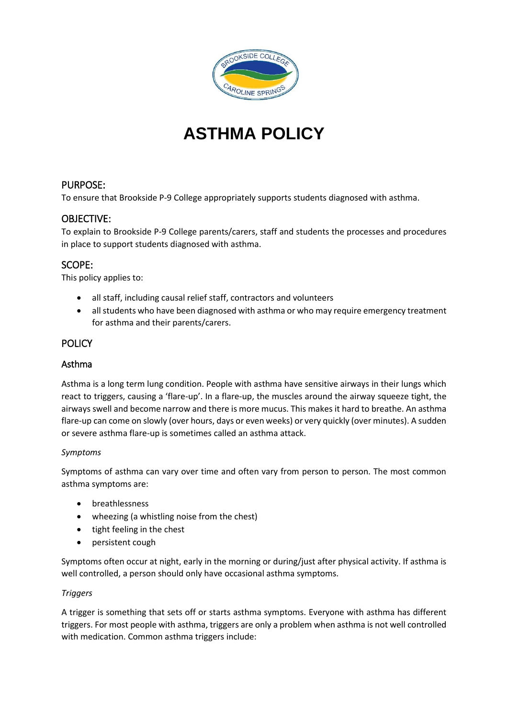

# **ASTHMA POLICY**

# PURPOSE:

To ensure that Brookside P-9 College appropriately supports students diagnosed with asthma.

# OBJECTIVE:

To explain to Brookside P-9 College parents/carers, staff and students the processes and procedures in place to support students diagnosed with asthma.

## SCOPE:

This policy applies to:

- all staff, including causal relief staff, contractors and volunteers
- all students who have been diagnosed with asthma or who may require emergency treatment for asthma and their parents/carers.

## **POLICY**

## Asthma

Asthma is a long term lung condition. People with asthma have sensitive airways in their lungs which react to triggers, causing a 'flare-up'. In a flare-up, the muscles around the airway squeeze tight, the airways swell and become narrow and there is more mucus. This makes it hard to breathe. An asthma flare-up can come on slowly (over hours, days or even weeks) or very quickly (over minutes). A sudden or severe asthma flare-up is sometimes called an asthma attack.

#### *Symptoms*

Symptoms of asthma can vary over time and often vary from person to person. The most common asthma symptoms are:

- breathlessness
- wheezing (a whistling noise from the chest)
- tight feeling in the chest
- persistent cough

Symptoms often occur at night, early in the morning or during/just after physical activity. If asthma is well controlled, a person should only have occasional asthma symptoms.

#### *Triggers*

A trigger is something that sets off or starts asthma symptoms. Everyone with asthma has different triggers. For most people with asthma, triggers are only a problem when asthma is not well controlled with medication. Common asthma triggers include: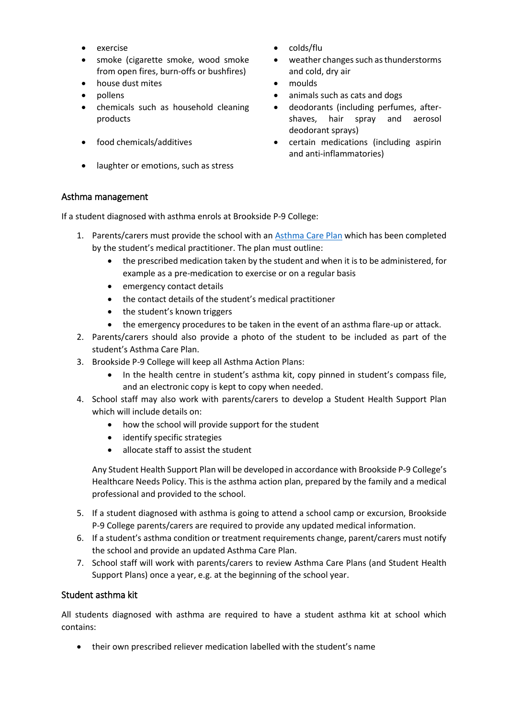- 
- smoke (cigarette smoke, wood smoke from open fires, burn-offs or bushfires)
- house dust mites **and the set of the moulds** and the moulds
- 
- chemicals such as household cleaning products
- 
- laughter or emotions, such as stress
- exercise **colds/flu** 
	- weather changes such as thunderstorms and cold, dry air
	-
- pollens **but a controller and the controller of the controller animals such as cats and dogs** 
	- deodorants (including perfumes, aftershaves, hair spray and aerosol deodorant sprays)
- food chemicals/additives certain medications (including aspirin and anti-inflammatories)

#### Asthma management

If a student diagnosed with asthma enrols at Brookside P-9 College:

- 1. Parents/carers must provide the school with an [Asthma Care](http://www.education.vic.gov.au/school/principals/spag/health/Documents/AsthmaCarePlan.pdf) Plan which has been completed by the student's medical practitioner. The plan must outline:
	- the prescribed medication taken by the student and when it is to be administered, for example as a pre-medication to exercise or on a regular basis
	- emergency contact details
	- the contact details of the student's medical practitioner
	- the student's known triggers
	- the emergency procedures to be taken in the event of an asthma flare-up or attack.
- 2. Parents/carers should also provide a photo of the student to be included as part of the student's Asthma Care Plan.
- 3. Brookside P-9 College will keep all Asthma Action Plans:
	- In the health centre in student's asthma kit, copy pinned in student's compass file, and an electronic copy is kept to copy when needed.
- 4. School staff may also work with parents/carers to develop a Student Health Support Plan which will include details on:
	- how the school will provide support for the student
	- identify specific strategies
	- allocate staff to assist the student

Any Student Health Support Plan will be developed in accordance with Brookside P-9 College's Healthcare Needs Policy. This is the asthma action plan, prepared by the family and a medical professional and provided to the school.

- 5. If a student diagnosed with asthma is going to attend a school camp or excursion, Brookside P-9 College parents/carers are required to provide any updated medical information.
- 6. If a student's asthma condition or treatment requirements change, parent/carers must notify the school and provide an updated Asthma Care Plan.
- 7. School staff will work with parents/carers to review Asthma Care Plans (and Student Health Support Plans) once a year, e.g. at the beginning of the school year.

#### Student asthma kit

All students diagnosed with asthma are required to have a student asthma kit at school which contains:

their own prescribed reliever medication labelled with the student's name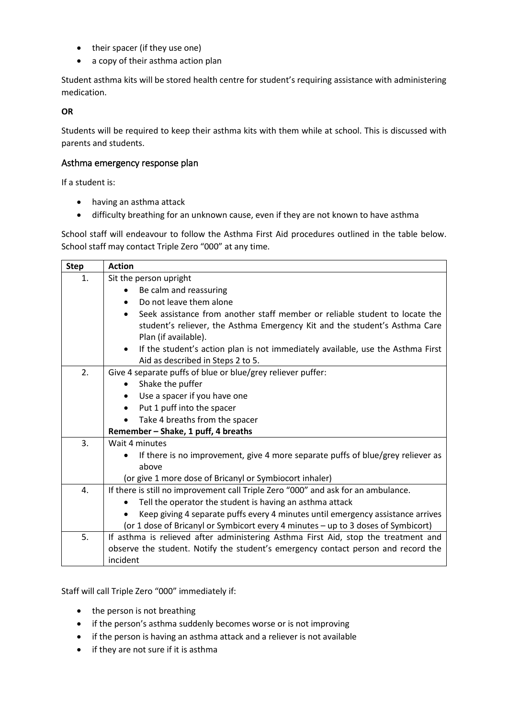- their spacer (if they use one)
- a copy of their asthma action plan

Student asthma kits will be stored health centre for student's requiring assistance with administering medication.

#### **OR**

Students will be required to keep their asthma kits with them while at school. This is discussed with parents and students.

### Asthma emergency response plan

If a student is:

- having an asthma attack
- difficulty breathing for an unknown cause, even if they are not known to have asthma

School staff will endeavour to follow the Asthma First Aid procedures outlined in the table below. School staff may contact Triple Zero "000" at any time.

| <b>Step</b> | <b>Action</b>                                                                                                                                                                     |  |  |  |  |  |
|-------------|-----------------------------------------------------------------------------------------------------------------------------------------------------------------------------------|--|--|--|--|--|
| 1.          | Sit the person upright                                                                                                                                                            |  |  |  |  |  |
|             | Be calm and reassuring                                                                                                                                                            |  |  |  |  |  |
|             | Do not leave them alone                                                                                                                                                           |  |  |  |  |  |
|             | Seek assistance from another staff member or reliable student to locate the<br>student's reliever, the Asthma Emergency Kit and the student's Asthma Care<br>Plan (if available). |  |  |  |  |  |
|             | If the student's action plan is not immediately available, use the Asthma First<br>$\bullet$<br>Aid as described in Steps 2 to 5.                                                 |  |  |  |  |  |
| 2.          | Give 4 separate puffs of blue or blue/grey reliever puffer:                                                                                                                       |  |  |  |  |  |
|             | Shake the puffer<br>$\bullet$                                                                                                                                                     |  |  |  |  |  |
|             | Use a spacer if you have one                                                                                                                                                      |  |  |  |  |  |
|             | Put 1 puff into the spacer<br>$\bullet$                                                                                                                                           |  |  |  |  |  |
|             | Take 4 breaths from the spacer                                                                                                                                                    |  |  |  |  |  |
|             | Remember - Shake, 1 puff, 4 breaths                                                                                                                                               |  |  |  |  |  |
| 3.          | Wait 4 minutes                                                                                                                                                                    |  |  |  |  |  |
|             | If there is no improvement, give 4 more separate puffs of blue/grey reliever as<br>$\bullet$                                                                                      |  |  |  |  |  |
|             | above                                                                                                                                                                             |  |  |  |  |  |
|             | (or give 1 more dose of Bricanyl or Symbiocort inhaler)                                                                                                                           |  |  |  |  |  |
| 4.          | If there is still no improvement call Triple Zero "000" and ask for an ambulance.                                                                                                 |  |  |  |  |  |
|             | Tell the operator the student is having an asthma attack<br>$\bullet$                                                                                                             |  |  |  |  |  |
|             | Keep giving 4 separate puffs every 4 minutes until emergency assistance arrives                                                                                                   |  |  |  |  |  |
|             | (or 1 dose of Bricanyl or Symbicort every 4 minutes - up to 3 doses of Symbicort)                                                                                                 |  |  |  |  |  |
| 5.          | If asthma is relieved after administering Asthma First Aid, stop the treatment and                                                                                                |  |  |  |  |  |
|             | observe the student. Notify the student's emergency contact person and record the                                                                                                 |  |  |  |  |  |
|             | incident                                                                                                                                                                          |  |  |  |  |  |

Staff will call Triple Zero "000" immediately if:

- the person is not breathing
- if the person's asthma suddenly becomes worse or is not improving
- if the person is having an asthma attack and a reliever is not available
- if they are not sure if it is asthma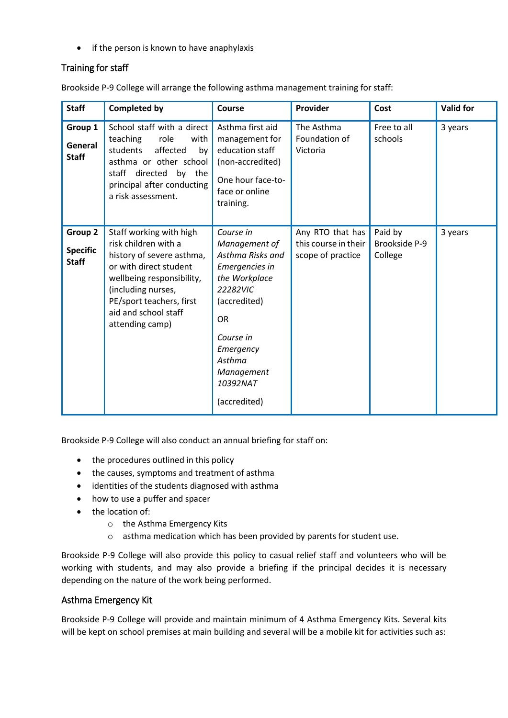• if the person is known to have anaphylaxis

## Training for staff

Brookside P-9 College will arrange the following asthma management training for staff:

| <b>Staff</b>                               | <b>Completed by</b>                                                                                                                                                                                                              | Course                                                                                                                                                                                                   | Provider                                                      | Cost                                | <b>Valid for</b> |
|--------------------------------------------|----------------------------------------------------------------------------------------------------------------------------------------------------------------------------------------------------------------------------------|----------------------------------------------------------------------------------------------------------------------------------------------------------------------------------------------------------|---------------------------------------------------------------|-------------------------------------|------------------|
| Group 1<br>General<br><b>Staff</b>         | School staff with a direct<br>teaching<br>role<br>with<br>students<br>affected<br>by<br>asthma or other school<br>staff directed by the<br>principal after conducting<br>a risk assessment.                                      | Asthma first aid<br>management for<br>education staff<br>(non-accredited)<br>One hour face-to-<br>face or online<br>training.                                                                            | The Asthma<br>Foundation of<br>Victoria                       | Free to all<br>schools              | 3 years          |
| Group 2<br><b>Specific</b><br><b>Staff</b> | Staff working with high<br>risk children with a<br>history of severe asthma,<br>or with direct student<br>wellbeing responsibility,<br>(including nurses,<br>PE/sport teachers, first<br>aid and school staff<br>attending camp) | Course in<br>Management of<br>Asthma Risks and<br>Emergencies in<br>the Workplace<br>22282VIC<br>(accredited)<br><b>OR</b><br>Course in<br>Emergency<br>Asthma<br>Management<br>10392NAT<br>(accredited) | Any RTO that has<br>this course in their<br>scope of practice | Paid by<br>Brookside P-9<br>College | 3 years          |

Brookside P-9 College will also conduct an annual briefing for staff on:

- the procedures outlined in this policy
- the causes, symptoms and treatment of asthma
- identities of the students diagnosed with asthma
- how to use a puffer and spacer
- the location of:
	- o the Asthma Emergency Kits
	- o asthma medication which has been provided by parents for student use.

Brookside P-9 College will also provide this policy to casual relief staff and volunteers who will be working with students, and may also provide a briefing if the principal decides it is necessary depending on the nature of the work being performed.

#### Asthma Emergency Kit

Brookside P-9 College will provide and maintain minimum of 4 Asthma Emergency Kits. Several kits will be kept on school premises at main building and several will be a mobile kit for activities such as: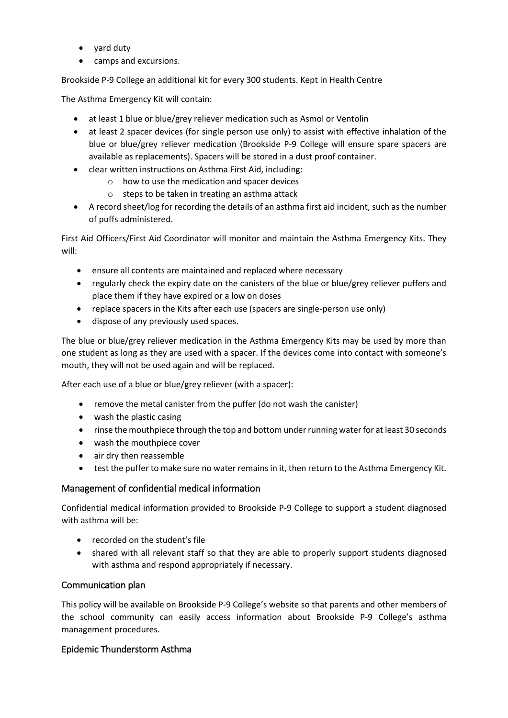- yard duty
- camps and excursions.

Brookside P-9 College an additional kit for every 300 students. Kept in Health Centre

The Asthma Emergency Kit will contain:

- at least 1 blue or blue/grey reliever medication such as Asmol or Ventolin
- at least 2 spacer devices (for single person use only) to assist with effective inhalation of the blue or blue/grey reliever medication (Brookside P-9 College will ensure spare spacers are available as replacements). Spacers will be stored in a dust proof container.
- clear written instructions on Asthma First Aid, including:
	- o how to use the medication and spacer devices
	- o steps to be taken in treating an asthma attack
- A record sheet/log for recording the details of an asthma first aid incident, such as the number of puffs administered.

First Aid Officers/First Aid Coordinator will monitor and maintain the Asthma Emergency Kits. They will:

- ensure all contents are maintained and replaced where necessary
- regularly check the expiry date on the canisters of the blue or blue/grey reliever puffers and place them if they have expired or a low on doses
- replace spacers in the Kits after each use (spacers are single-person use only)
- dispose of any previously used spaces.

The blue or blue/grey reliever medication in the Asthma Emergency Kits may be used by more than one student as long as they are used with a spacer. If the devices come into contact with someone's mouth, they will not be used again and will be replaced.

After each use of a blue or blue/grey reliever (with a spacer):

- remove the metal canister from the puffer (do not wash the canister)
- wash the plastic casing
- rinse the mouthpiece through the top and bottom under running water for at least 30 seconds
- wash the mouthpiece cover
- air dry then reassemble
- test the puffer to make sure no water remains in it, then return to the Asthma Emergency Kit.

#### Management of confidential medical information

Confidential medical information provided to Brookside P-9 College to support a student diagnosed with asthma will be:

- recorded on the student's file
- shared with all relevant staff so that they are able to properly support students diagnosed with asthma and respond appropriately if necessary.

#### Communication plan

This policy will be available on Brookside P-9 College's website so that parents and other members of the school community can easily access information about Brookside P-9 College's asthma management procedures.

#### Epidemic Thunderstorm Asthma